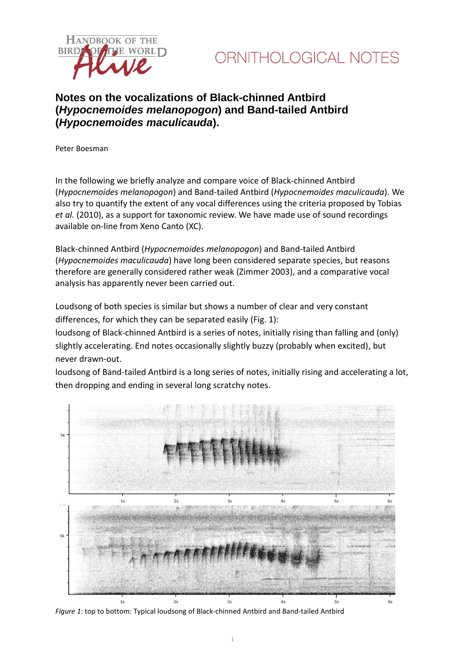



# **Notes on the vocalizations of Black-chinned Antbird (***Hypocnemoides melanopogon***) and Band-tailed Antbird (***Hypocnemoides maculicauda***).**

Peter Boesman

In the following we briefly analyze and compare voice of Black-chinned Antbird (*Hypocnemoides melanopogon*) and Band-tailed Antbird (*Hypocnemoides maculicauda*). We also try to quantify the extent of any vocal differences using the criteria proposed by Tobias *et al.* (2010), as a support for taxonomic review. We have made use of sound recordings available on-line from Xeno Canto (XC).

Black-chinned Antbird (*Hypocnemoides melanopogon*) and Band-tailed Antbird (*Hypocnemoides maculicauda*) have long been considered separate species, but reasons therefore are generally considered rather weak (Zimmer 2003), and a comparative vocal analysis has apparently never been carried out.

Loudsong of both species is similar but shows a number of clear and very constant differences, for which they can be separated easily (Fig. 1):

loudsong of Black-chinned Antbird is a series of notes, initially rising than falling and (only) slightly accelerating. End notes occasionally slightly buzzy (probably when excited), but never drawn-out.

loudsong of Band-tailed Antbird is a long series of notes, initially rising and accelerating a lot, then dropping and ending in several long scratchy notes.



*Figure 1*: top to bottom: Typical loudsong of Black-chinned Antbird and Band-tailed Antbird